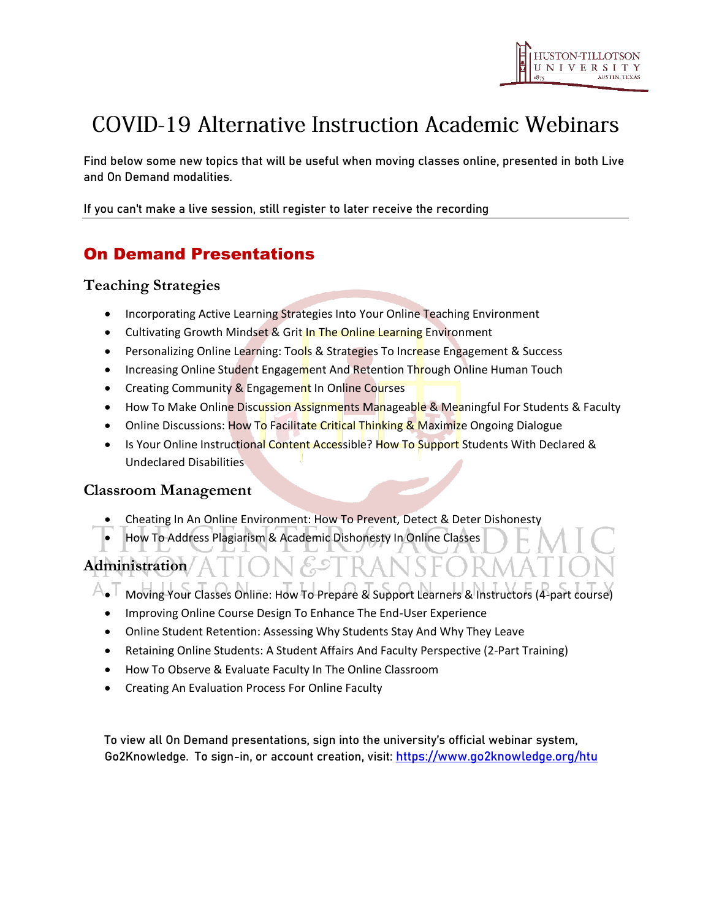

# COVID-19 Alternative Instruction Academic Webinars

Find below some new topics that will be useful when moving classes online, presented in both Live and On Demand modalities.

If you can't make a live session, still register to later receive the recording

## On Demand Presentations

#### **Teaching Strategies**

- Incorporating Active Learning Strategies Into Your Online Teaching Environment
- Cultivating Growth Mindset & Grit In The Online Learning Environment
- **•** Personalizing Online Learning: Tools & Strategies To Increase Engagement & Success
- **Increasing Online Student Engagement And Retention Through Online Human Touch**
- **•** Creating Community & Engagement In Online Courses
- How To Make Online Discussion Assignments Manageable & Meaningful For Students & Faculty
- Online Discussions: How To Facilitate Critical Thinking & Maximize Ongoing Dialogue
- Is Your Online Instructional Content Accessible? How To Support Students With Declared & Undeclared Disabilities

#### **Classroom Management**

- Cheating In An Online Environment: How To Prevent, Detect & Deter Dishonesty
- How To Address Plagiarism & Academic Dishonesty In Online Classes

**Administration**

- Moving Your Classes Online: How To Prepare & Support Learners & Instructors (4-part course)
- **Improving Online Course Design To Enhance The End-User Experience**
- Online Student Retention: Assessing Why Students Stay And Why They Leave
- Retaining Online Students: A Student Affairs And Faculty Perspective (2-Part Training)
- How To Observe & Evaluate Faculty In The Online Classroom
- Creating An Evaluation Process For Online Faculty

To view all On Demand presentations, sign into the university's official webinar system, Go2Knowledge. To sign-in, or account creation, visit: <https://www.go2knowledge.org/htu>